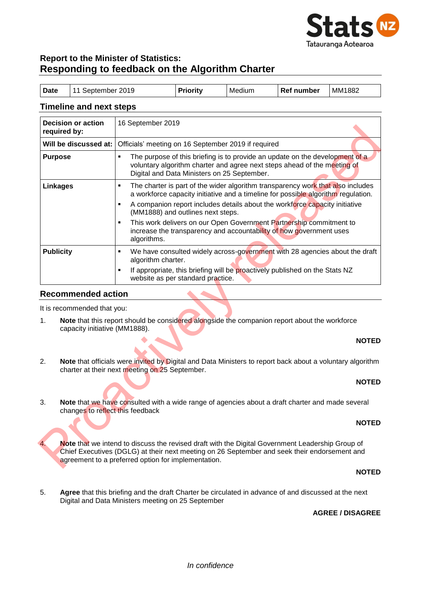

# **Report to the Minister of Statistics: Responding to feedback on the Algorithm Charter**

| Date<br>MM1882<br><b>Priority</b><br>11 September 2019<br>Ref number<br>Medium |  |
|--------------------------------------------------------------------------------|--|
|--------------------------------------------------------------------------------|--|

### **Timeline and next steps**

| required by:          | <b>Decision or action</b>                                                                                                                                                                                                                               | 16 September 2019                                                                                                                                                                                                         |  |  |  |
|-----------------------|---------------------------------------------------------------------------------------------------------------------------------------------------------------------------------------------------------------------------------------------------------|---------------------------------------------------------------------------------------------------------------------------------------------------------------------------------------------------------------------------|--|--|--|
| Will be discussed at: |                                                                                                                                                                                                                                                         | Officials' meeting on 16 September 2019 if required                                                                                                                                                                       |  |  |  |
| <b>Purpose</b>        |                                                                                                                                                                                                                                                         | The purpose of this briefing is to provide an update on the development of a<br>$\blacksquare$<br>voluntary algorithm charter and agree next steps ahead of the meeting of<br>Digital and Data Ministers on 25 September. |  |  |  |
| <b>Linkages</b>       |                                                                                                                                                                                                                                                         | ×,<br>The charter is part of the wider algorithm transparency work that also includes<br>a workforce capacity initiative and a timeline for possible algorithm regulation.                                                |  |  |  |
|                       |                                                                                                                                                                                                                                                         | A companion report includes details about the workforce capacity initiative<br>$\blacksquare$<br>(MM1888) and outlines next steps.                                                                                        |  |  |  |
|                       |                                                                                                                                                                                                                                                         | This work delivers on our Open Government Partnership commitment to<br>×,<br>increase the transparency and accountability of how government uses<br>algorithms.                                                           |  |  |  |
| <b>Publicity</b>      |                                                                                                                                                                                                                                                         | We have consulted widely across-government with 28 agencies about the draft<br>×,<br>algorithm charter.                                                                                                                   |  |  |  |
|                       |                                                                                                                                                                                                                                                         | If appropriate, this briefing will be proactively published on the Stats NZ<br>П<br>website as per standard practice.                                                                                                     |  |  |  |
|                       | <b>Recommended action</b>                                                                                                                                                                                                                               |                                                                                                                                                                                                                           |  |  |  |
|                       | It is recommended that you:                                                                                                                                                                                                                             |                                                                                                                                                                                                                           |  |  |  |
| 1 <sub>1</sub>        | Note that this report should be considered alongside the companion report about the workforce<br>capacity initiative (MM1888).                                                                                                                          |                                                                                                                                                                                                                           |  |  |  |
|                       | <b>NOTED</b>                                                                                                                                                                                                                                            |                                                                                                                                                                                                                           |  |  |  |
| 2.                    | Note that officials were invited by Digital and Data Ministers to report back about a voluntary algorithm<br>charter at their next meeting on 25 September.                                                                                             |                                                                                                                                                                                                                           |  |  |  |
| <b>NOTED</b>          |                                                                                                                                                                                                                                                         |                                                                                                                                                                                                                           |  |  |  |
| 3.                    | Note that we have consulted with a wide range of agencies about a draft charter and made several<br>changes to reflect this feedback                                                                                                                    |                                                                                                                                                                                                                           |  |  |  |
|                       | <b>NOTED</b>                                                                                                                                                                                                                                            |                                                                                                                                                                                                                           |  |  |  |
| $\overline{4}$ .      | Note that we intend to discuss the revised draft with the Digital Government Leadership Group of<br>Chief Executives (DGLG) at their next meeting on 26 September and seek their endorsement and<br>agreement to a preferred option for implementation. |                                                                                                                                                                                                                           |  |  |  |

### **Recommended action**

### **NOTED**

### **NOTED**

### **NOTED**

### **NOTED**

5. **Agree** that this briefing and the draft Charter be circulated in advance of and discussed at the next Digital and Data Ministers meeting on 25 September

### **AGREE / DISAGREE**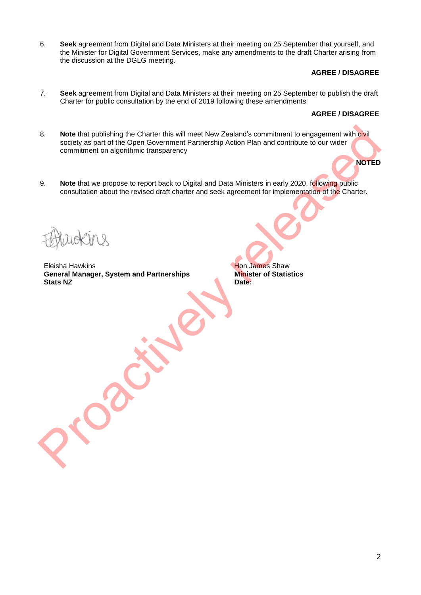6. **Seek** agreement from Digital and Data Ministers at their meeting on 25 September that yourself, and the Minister for Digital Government Services, make any amendments to the draft Charter arising from the discussion at the DGLG meeting.

### **AGREE / DISAGREE**

7. **Seek** agreement from Digital and Data Ministers at their meeting on 25 September to publish the draft Charter for public consultation by the end of 2019 following these amendments

### **AGREE / DISAGREE**

**NOTED**

- 8. **Note** that publishing the Charter this will meet New Zealand's commitment to engagement with civil society as part of the Open Government Partnership Action Plan and contribute to our wider commitment on algorithmic transparency 8. Note that publishing the Charter this will meet New Zealand's commitment to engagement with collar scheen and contentment Particular estimates in early 2020, following public commitment on algorithmic transparency<br>
9. N
- 9. **Note** that we propose to report back to Digital and Data Ministers in early 2020, following public consultation about the revised draft charter and seek agreement for implementation of the Charter.

Eleisha Hawkins **Hon James Shaw General Manager, System and Partnerships Stats NZ**

**Minister of Statistics Date:**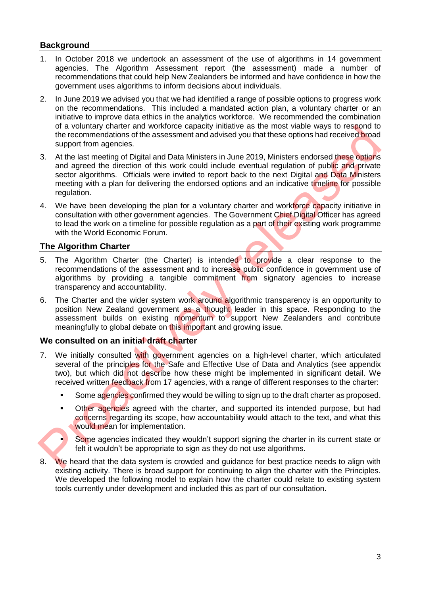# **Background**

- 1. In October 2018 we undertook an assessment of the use of algorithms in 14 government agencies. The Algorithm Assessment report (the assessment) made a number of recommendations that could help New Zealanders be informed and have confidence in how the government uses algorithms to inform decisions about individuals.
- 2. In June 2019 we advised you that we had identified a range of possible options to progress work on the recommendations. This included a mandated action plan, a voluntary charter or an initiative to improve data ethics in the analytics workforce. We recommended the combination of a voluntary charter and workforce capacity initiative as the most viable ways to respond to the recommendations of the assessment and advised you that these options had received broad support from agencies.
- 3. At the last meeting of Digital and Data Ministers in June 2019, Ministers endorsed these options and agreed the direction of this work could include eventual regulation of public and private sector algorithms. Officials were invited to report back to the next Digital and Data Ministers meeting with a plan for delivering the endorsed options and an indicative timeline for possible regulation. or a voluntery character and workdome and workdome as the most value ways to respond to the decoration of this work could also develops and a consider the last meioring consider the last meioring of Digital and Data Minist
- 4. We have been developing the plan for a voluntary charter and workforce capacity initiative in consultation with other government agencies. The Government Chief Digital Officer has agreed to lead the work on a timeline for possible regulation as a part of their existing work programme with the World Economic Forum.

## **The Algorithm Charter**

- 5. The Algorithm Charter (the Charter) is intended to provide a clear response to the recommendations of the assessment and to increase public confidence in government use of algorithms by providing a tangible commitment from signatory agencies to increase transparency and accountability.
- 6. The Charter and the wider system work around algorithmic transparency is an opportunity to position New Zealand government as a thought leader in this space. Responding to the assessment builds on existing momentum to support New Zealanders and contribute meaningfully to global debate on this important and growing issue.

### **We consulted on an initial draft charter**

- 7. We initially consulted with government agencies on a high-level charter, which articulated several of the principles for the Safe and Effective Use of Data and Analytics (see appendix two), but which did not describe how these might be implemented in significant detail. We received written feedback from 17 agencies, with a range of different responses to the charter:
	- **Some agencies confirmed they would be willing to sign up to the draft charter as proposed.**
	- **•** Other agencies agreed with the charter, and supported its intended purpose, but had concerns regarding its scope, how accountability would attach to the text, and what this would mean for implementation.
	- Some agencies indicated they wouldn't support signing the charter in its current state or felt it wouldn't be appropriate to sign as they do not use algorithms.
- 8. We heard that the data system is crowded and guidance for best practice needs to align with existing activity. There is broad support for continuing to align the charter with the Principles. We developed the following model to explain how the charter could relate to existing system tools currently under development and included this as part of our consultation.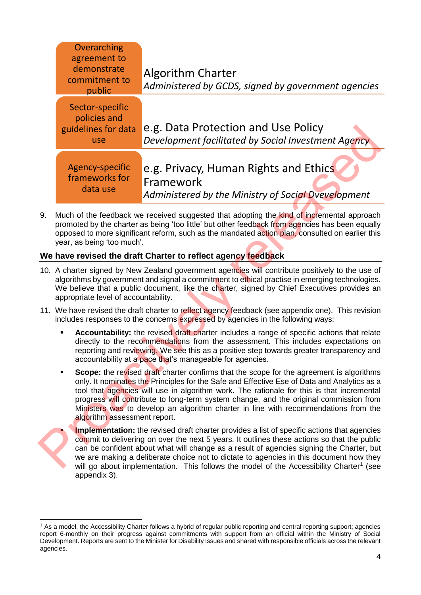| Overarching<br>agreement to<br>demonstrate<br>commitment to<br>public |                                                                                                                                                                                                                                                                                                                                                                                                                                                                                                      | <b>Algorithm Charter</b><br>Administered by GCDS, signed by government agencies                           |  |  |  |  |
|-----------------------------------------------------------------------|------------------------------------------------------------------------------------------------------------------------------------------------------------------------------------------------------------------------------------------------------------------------------------------------------------------------------------------------------------------------------------------------------------------------------------------------------------------------------------------------------|-----------------------------------------------------------------------------------------------------------|--|--|--|--|
|                                                                       | Sector-specific<br>policies and<br>guidelines for data<br>use                                                                                                                                                                                                                                                                                                                                                                                                                                        | e.g. Data Protection and Use Policy<br>Development facilitated by Social Investment Agency                |  |  |  |  |
|                                                                       | Agency-specific<br>frameworks for<br>data use                                                                                                                                                                                                                                                                                                                                                                                                                                                        | e.g. Privacy, Human Rights and Ethics<br>Framework<br>Administered by the Ministry of Social Dvevelopment |  |  |  |  |
| 9.                                                                    | Much of the feedback we received suggested that adopting the kind of incremental approach<br>promoted by the charter as being 'too little' but other feedback from agencies has been equally<br>opposed to more significant reform, such as the mandated action plan, consulted on earlier this<br>year, as being 'too much'.                                                                                                                                                                        |                                                                                                           |  |  |  |  |
|                                                                       | We have revised the draft Charter to reflect agency feedback<br>10. A charter signed by New Zealand government agencies will contribute positively to the use of<br>algorithms by government and signal a commitment to ethical practise in emerging technologies.<br>We believe that a public document, like the charter, signed by Chief Executives provides an<br>appropriate level of accountability.                                                                                            |                                                                                                           |  |  |  |  |
|                                                                       | 11. We have revised the draft charter to reflect agency feedback (see appendix one). This revision<br>includes responses to the concerns expressed by agencies in the following ways:                                                                                                                                                                                                                                                                                                                |                                                                                                           |  |  |  |  |
|                                                                       | <b>Accountability:</b> the revised draft charter includes a range of specific actions that relate<br>directly to the recommendations from the assessment. This includes expectations on<br>reporting and reviewing. We see this as a positive step towards greater transparency and<br>accountability at a pace that's manageable for agencies.                                                                                                                                                      |                                                                                                           |  |  |  |  |
|                                                                       | Scope: the revised draft charter confirms that the scope for the agreement is algorithms<br>only. It nominates the Principles for the Safe and Effective Ese of Data and Analytics as a<br>tool that agencies will use in algorithm work. The rationale for this is that incremental<br>progress will contribute to long-term system change, and the original commission from<br>Ministers was to develop an algorithm charter in line with recommendations from the<br>algorithm assessment report. |                                                                                                           |  |  |  |  |
|                                                                       | Implementation: the revised draft charter provides a list of specific actions that agencies<br>commit to delivering on over the next 5 years. It outlines these actions so that the public<br>can be confident about what will change as a result of agencies signing the Charter, but<br>we are making a deliberate choice not to dictate to agencies in this document how they<br>will go about implementation. This follows the model of the Accessibility Charter <sup>1</sup> (see              |                                                                                                           |  |  |  |  |

# **We have revised the draft Charter to reflect agency feedback**

- 10. A charter signed by New Zealand government agencies will contribute positively to the use of algorithms by government and signal a commitment to ethical practise in emerging technologies. We believe that a public document, like the charter, signed by Chief Executives provides an appropriate level of accountability.
- 11. We have revised the draft charter to reflect agency feedback (see appendix one). This revision includes responses to the concerns expressed by agencies in the following ways:
	- **Accountability:** the revised draft charter includes a range of specific actions that relate directly to the recommendations from the assessment. This includes expectations on reporting and reviewing. We see this as a positive step towards greater transparency and accountability at a pace that's manageable for agencies.
	- **Scope:** the revised draft charter confirms that the scope for the agreement is algorithms only. It nominates the Principles for the Safe and Effective Ese of Data and Analytics as a tool that agencies will use in algorithm work. The rationale for this is that incremental progress will contribute to long-term system change, and the original commission from Ministers was to develop an algorithm charter in line with recommendations from the algorithm assessment report.



-

**Implementation:** the revised draft charter provides a list of specific actions that agencies commit to delivering on over the next 5 years. It outlines these actions so that the public can be confident about what will change as a result of agencies signing the Charter, but we are making a deliberate choice not to dictate to agencies in this document how they will go about implementation. This follows the model of the Accessibility Charter<sup>1</sup> (see appendix 3).

<sup>1</sup> As a model, the Accessibility Charter follows a hybrid of regular public reporting and central reporting support; agencies report 6-monthly on their progress against commitments with support from an official within the Ministry of Social Development. Reports are sent to the Minister for Disability Issues and shared with responsible officials across the relevant agencies.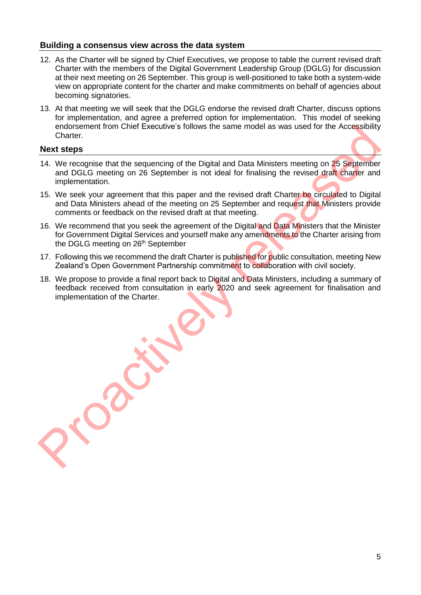## **Building a consensus view across the data system**

- 12. As the Charter will be signed by Chief Executives, we propose to table the current revised draft Charter with the members of the Digital Government Leadership Group (DGLG) for discussion at their next meeting on 26 September. This group is well-positioned to take both a system-wide view on appropriate content for the charter and make commitments on behalf of agencies about becoming signatories.
- 13. At that meeting we will seek that the DGLG endorse the revised draft Charter, discuss options for implementation, and agree a preferred option for implementation. This model of seeking endorsement from Chief Executive's follows the same model as was used for the Accessibility Charter.

### **Next steps**

- 14. We recognise that the sequencing of the Digital and Data Ministers meeting on 25 September and DGLG meeting on 26 September is not ideal for finalising the revised draft charter and implementation. endocement from Chief Executive's follows the same model as was used for the Accessibility<br>
The Wext steps<br>
14. We recognise that the sequencing of the Digital and Data Ministers meeting on 25 September<br>
16. We seek your a
- 15. We seek your agreement that this paper and the revised draft Charter be circulated to Digital and Data Ministers ahead of the meeting on 25 September and request that Ministers provide comments or feedback on the revised draft at that meeting.
- 16. We recommend that you seek the agreement of the Digital and Data Ministers that the Minister for Government Digital Services and yourself make any amendments to the Charter arising from the DGLG meeting on 26<sup>th</sup> September
- 17. Following this we recommend the draft Charter is published for public consultation, meeting New Zealand's Open Government Partnership commitment to collaboration with civil society.
- 18. We propose to provide a final report back to Digital and Data Ministers, including a summary of feedback received from consultation in early 2020 and seek agreement for finalisation and implementation of the Charter.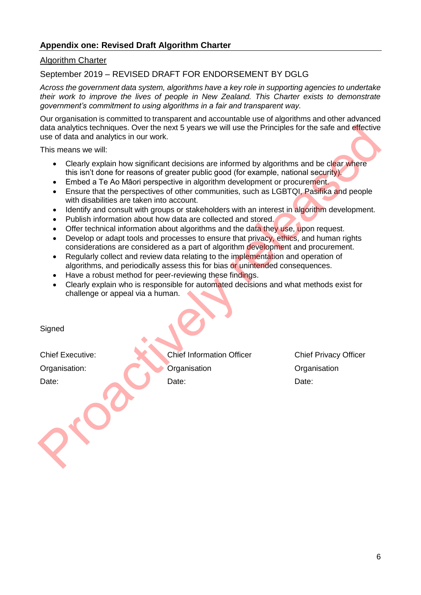# **Appendix one: Revised Draft Algorithm Charter**

### Algorithm Charter

September 2019 – REVISED DRAFT FOR ENDORSEMENT BY DGLG

*Across the government data system, algorithms have a key role in supporting agencies to undertake their work to improve the lives of people in New Zealand. This Charter exists to demonstrate government's commitment to using algorithms in a fair and transparent way.* 

Our organisation is committed to transparent and accountable use of algorithms and other advanced data analytics techniques. Over the next 5 years we will use the Principles for the safe and effective use of data and analytics in our work.

This means we will:

- Clearly explain how significant decisions are informed by algorithms and be clear where this isn't done for reasons of greater public good (for example, national security). data analytics is chosen the next 5 years we will use the Principles for the sale and effective<br>use of data and analytics in our work.<br>
This means we will:<br>
Clearly explain how significant decisions are informed by algorit
	- Embed a Te Ao Māori perspective in algorithm development or procurement.
	- Ensure that the perspectives of other communities, such as LGBTQI, Pasifika and people with disabilities are taken into account.
	- Identify and consult with groups or stakeholders with an interest in algorithm development.
	- Publish information about how data are collected and stored.
	- Offer technical information about algorithms and the data they use, upon request.
	- Develop or adapt tools and processes to ensure that privacy, ethics, and human rights considerations are considered as a part of algorithm development and procurement.
	- Regularly collect and review data relating to the implementation and operation of algorithms, and periodically assess this for bias or unintended consequences.
	- Have a robust method for peer-reviewing these findings.
	- Clearly explain who is responsible for automated decisions and what methods exist for challenge or appeal via a human.

**Signed** 

Chief Executive: Chief Information Officer Chief Privacy Officer Organisation: Companisation Organisation Organisation Organisation Date: Date: Date: Date: Date: Date: Date: Date: Date: Date: Date: Date: Date: Date: Date: Date: Date: Date: Date: Date: Date: Date: Date: Date: Date: Date: Date: Date: Date: Date: Date: Date: Date: Date: Date: Date: Date: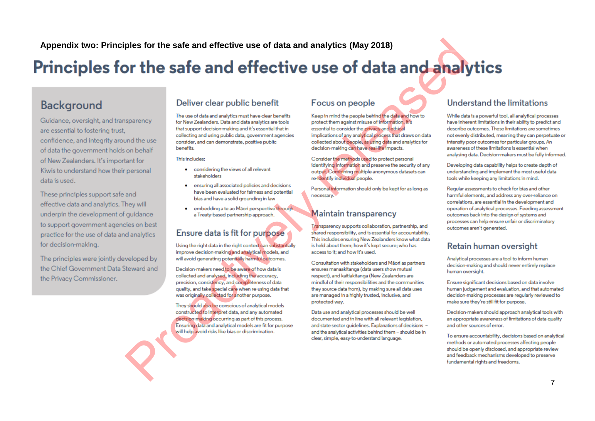# **Define the safe and effective use of data and analytics (May 2018)**<br>
Defiver clear public benefit Focus on people<br>
The safety and define the proposition of the control interval interval interval interval interval interva

# Background

data is used.

for decision-making.

the Privacy Commissioner.

- 
- 
-